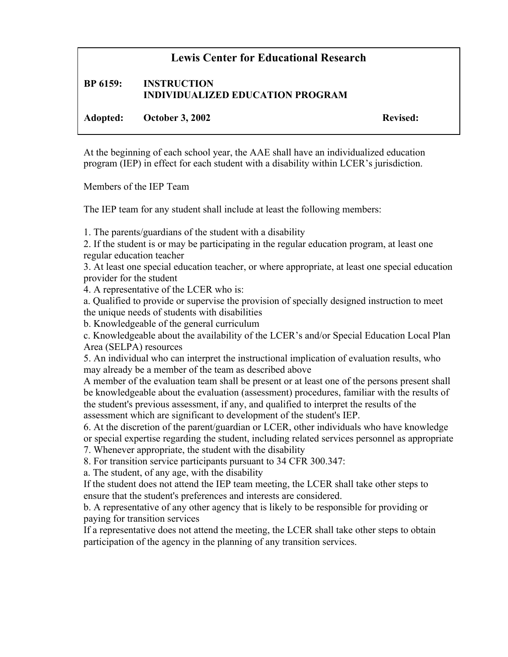## **Lewis Center for Educational Research**

## **BP 6159: INSTRUCTION INDIVIDUALIZED EDUCATION PROGRAM**

Adopted: October 3, 2002 Revised:

At the beginning of each school year, the AAE shall have an individualized education program (IEP) in effect for each student with a disability within LCER's jurisdiction.

Members of the IEP Team

The IEP team for any student shall include at least the following members:

1. The parents/guardians of the student with a disability

2. If the student is or may be participating in the regular education program, at least one regular education teacher

3. At least one special education teacher, or where appropriate, at least one special education provider for the student

4. A representative of the LCER who is:

a. Qualified to provide or supervise the provision of specially designed instruction to meet the unique needs of students with disabilities

b. Knowledgeable of the general curriculum

c. Knowledgeable about the availability of the LCER's and/or Special Education Local Plan Area (SELPA) resources

5. An individual who can interpret the instructional implication of evaluation results, who may already be a member of the team as described above

A member of the evaluation team shall be present or at least one of the persons present shall be knowledgeable about the evaluation (assessment) procedures, familiar with the results of the student's previous assessment, if any, and qualified to interpret the results of the assessment which are significant to development of the student's IEP.

6. At the discretion of the parent/guardian or LCER, other individuals who have knowledge or special expertise regarding the student, including related services personnel as appropriate

7. Whenever appropriate, the student with the disability

8. For transition service participants pursuant to 34 CFR 300.347:

a. The student, of any age, with the disability

If the student does not attend the IEP team meeting, the LCER shall take other steps to ensure that the student's preferences and interests are considered.

b. A representative of any other agency that is likely to be responsible for providing or paying for transition services

If a representative does not attend the meeting, the LCER shall take other steps to obtain participation of the agency in the planning of any transition services.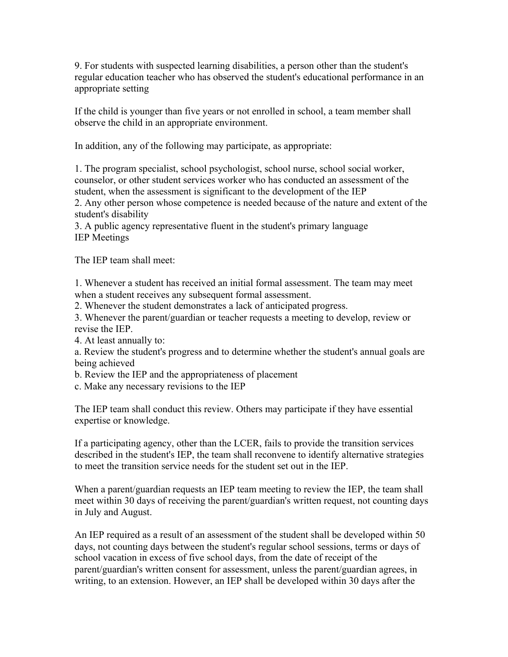9. For students with suspected learning disabilities, a person other than the student's regular education teacher who has observed the student's educational performance in an appropriate setting

If the child is younger than five years or not enrolled in school, a team member shall observe the child in an appropriate environment.

In addition, any of the following may participate, as appropriate:

1. The program specialist, school psychologist, school nurse, school social worker, counselor, or other student services worker who has conducted an assessment of the student, when the assessment is significant to the development of the IEP

2. Any other person whose competence is needed because of the nature and extent of the student's disability

3. A public agency representative fluent in the student's primary language IEP Meetings

The IEP team shall meet:

1. Whenever a student has received an initial formal assessment. The team may meet when a student receives any subsequent formal assessment.

2. Whenever the student demonstrates a lack of anticipated progress.

3. Whenever the parent/guardian or teacher requests a meeting to develop, review or revise the IEP.

4. At least annually to:

a. Review the student's progress and to determine whether the student's annual goals are being achieved

- b. Review the IEP and the appropriateness of placement
- c. Make any necessary revisions to the IEP

The IEP team shall conduct this review. Others may participate if they have essential expertise or knowledge.

If a participating agency, other than the LCER, fails to provide the transition services described in the student's IEP, the team shall reconvene to identify alternative strategies to meet the transition service needs for the student set out in the IEP.

When a parent/guardian requests an IEP team meeting to review the IEP, the team shall meet within 30 days of receiving the parent/guardian's written request, not counting days in July and August.

An IEP required as a result of an assessment of the student shall be developed within 50 days, not counting days between the student's regular school sessions, terms or days of school vacation in excess of five school days, from the date of receipt of the parent/guardian's written consent for assessment, unless the parent/guardian agrees, in writing, to an extension. However, an IEP shall be developed within 30 days after the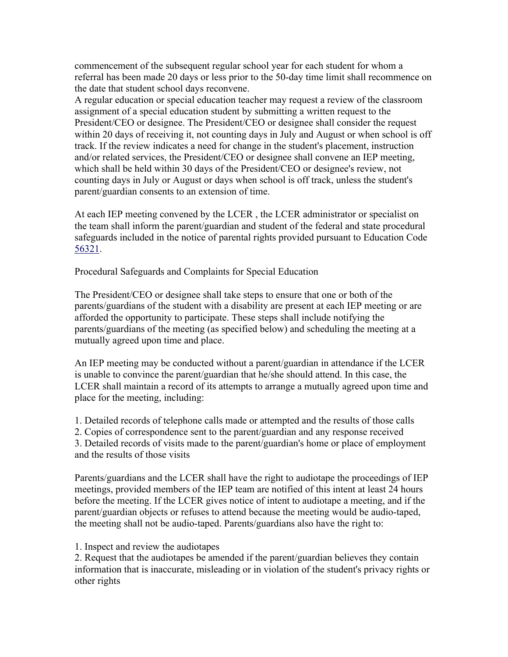commencement of the subsequent regular school year for each student for whom a referral has been made 20 days or less prior to the 50-day time limit shall recommence on the date that student school days reconvene.

A regular education or special education teacher may request a review of the classroom assignment of a special education student by submitting a written request to the President/CEO or designee. The President/CEO or designee shall consider the request within 20 days of receiving it, not counting days in July and August or when school is off track. If the review indicates a need for change in the student's placement, instruction and/or related services, the President/CEO or designee shall convene an IEP meeting, which shall be held within 30 days of the President/CEO or designee's review, not counting days in July or August or days when school is off track, unless the student's parent/guardian consents to an extension of time.

At each IEP meeting convened by the LCER , the LCER administrator or specialist on the team shall inform the parent/guardian and student of the federal and state procedural safeguards included in the notice of parental rights provided pursuant to Education Code 56321.

Procedural Safeguards and Complaints for Special Education

The President/CEO or designee shall take steps to ensure that one or both of the parents/guardians of the student with a disability are present at each IEP meeting or are afforded the opportunity to participate. These steps shall include notifying the parents/guardians of the meeting (as specified below) and scheduling the meeting at a mutually agreed upon time and place.

An IEP meeting may be conducted without a parent/guardian in attendance if the LCER is unable to convince the parent/guardian that he/she should attend. In this case, the LCER shall maintain a record of its attempts to arrange a mutually agreed upon time and place for the meeting, including:

1. Detailed records of telephone calls made or attempted and the results of those calls

2. Copies of correspondence sent to the parent/guardian and any response received

3. Detailed records of visits made to the parent/guardian's home or place of employment and the results of those visits

Parents/guardians and the LCER shall have the right to audiotape the proceedings of IEP meetings, provided members of the IEP team are notified of this intent at least 24 hours before the meeting. If the LCER gives notice of intent to audiotape a meeting, and if the parent/guardian objects or refuses to attend because the meeting would be audio-taped, the meeting shall not be audio-taped. Parents/guardians also have the right to:

1. Inspect and review the audiotapes

2. Request that the audiotapes be amended if the parent/guardian believes they contain information that is inaccurate, misleading or in violation of the student's privacy rights or other rights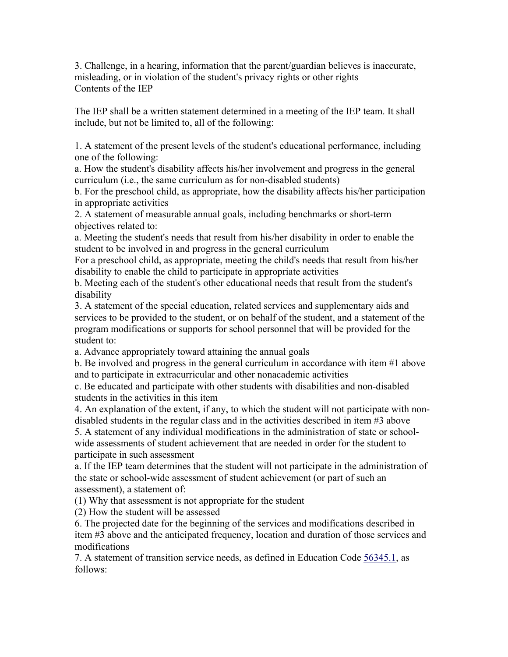3. Challenge, in a hearing, information that the parent/guardian believes is inaccurate, misleading, or in violation of the student's privacy rights or other rights Contents of the IEP

The IEP shall be a written statement determined in a meeting of the IEP team. It shall include, but not be limited to, all of the following:

1. A statement of the present levels of the student's educational performance, including one of the following:

a. How the student's disability affects his/her involvement and progress in the general curriculum (i.e., the same curriculum as for non-disabled students)

b. For the preschool child, as appropriate, how the disability affects his/her participation in appropriate activities

2. A statement of measurable annual goals, including benchmarks or short-term objectives related to:

a. Meeting the student's needs that result from his/her disability in order to enable the student to be involved in and progress in the general curriculum

For a preschool child, as appropriate, meeting the child's needs that result from his/her disability to enable the child to participate in appropriate activities

b. Meeting each of the student's other educational needs that result from the student's disability

3. A statement of the special education, related services and supplementary aids and services to be provided to the student, or on behalf of the student, and a statement of the program modifications or supports for school personnel that will be provided for the student to:

a. Advance appropriately toward attaining the annual goals

b. Be involved and progress in the general curriculum in accordance with item #1 above and to participate in extracurricular and other nonacademic activities

c. Be educated and participate with other students with disabilities and non-disabled students in the activities in this item

4. An explanation of the extent, if any, to which the student will not participate with nondisabled students in the regular class and in the activities described in item #3 above

5. A statement of any individual modifications in the administration of state or schoolwide assessments of student achievement that are needed in order for the student to participate in such assessment

a. If the IEP team determines that the student will not participate in the administration of the state or school-wide assessment of student achievement (or part of such an assessment), a statement of:

(1) Why that assessment is not appropriate for the student

(2) How the student will be assessed

6. The projected date for the beginning of the services and modifications described in item #3 above and the anticipated frequency, location and duration of those services and modifications

7. A statement of transition service needs, as defined in Education Code 56345.1, as follows: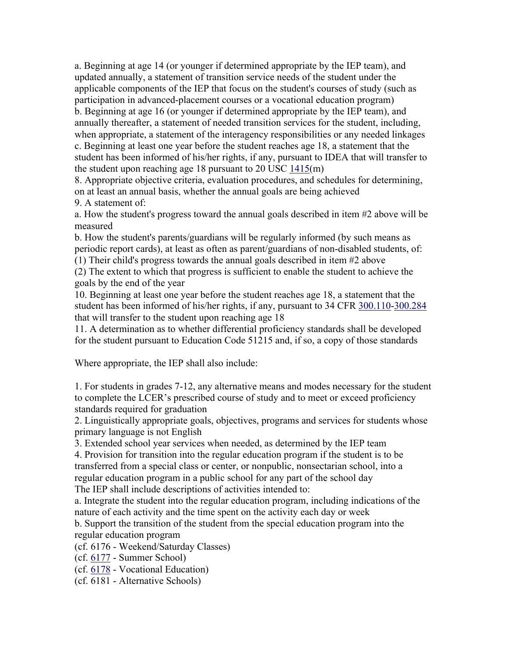a. Beginning at age 14 (or younger if determined appropriate by the IEP team), and updated annually, a statement of transition service needs of the student under the applicable components of the IEP that focus on the student's courses of study (such as participation in advanced-placement courses or a vocational education program) b. Beginning at age 16 (or younger if determined appropriate by the IEP team), and annually thereafter, a statement of needed transition services for the student, including, when appropriate, a statement of the interagency responsibilities or any needed linkages c. Beginning at least one year before the student reaches age 18, a statement that the student has been informed of his/her rights, if any, pursuant to IDEA that will transfer to the student upon reaching age 18 pursuant to 20 USC  $1415(m)$ 

8. Appropriate objective criteria, evaluation procedures, and schedules for determining, on at least an annual basis, whether the annual goals are being achieved 9. A statement of:

a. How the student's progress toward the annual goals described in item #2 above will be measured

b. How the student's parents/guardians will be regularly informed (by such means as periodic report cards), at least as often as parent/guardians of non-disabled students, of: (1) Their child's progress towards the annual goals described in item #2 above

(2) The extent to which that progress is sufficient to enable the student to achieve the goals by the end of the year

10. Beginning at least one year before the student reaches age 18, a statement that the student has been informed of his/her rights, if any, pursuant to 34 CFR 300.110-300.284 that will transfer to the student upon reaching age 18

11. A determination as to whether differential proficiency standards shall be developed for the student pursuant to Education Code 51215 and, if so, a copy of those standards

Where appropriate, the IEP shall also include:

1. For students in grades 7-12, any alternative means and modes necessary for the student to complete the LCER's prescribed course of study and to meet or exceed proficiency standards required for graduation

2. Linguistically appropriate goals, objectives, programs and services for students whose primary language is not English

3. Extended school year services when needed, as determined by the IEP team

4. Provision for transition into the regular education program if the student is to be transferred from a special class or center, or nonpublic, nonsectarian school, into a regular education program in a public school for any part of the school day The IEP shall include descriptions of activities intended to:

a. Integrate the student into the regular education program, including indications of the nature of each activity and the time spent on the activity each day or week

b. Support the transition of the student from the special education program into the regular education program

(cf. 6176 - Weekend/Saturday Classes)

(cf. 6177 - Summer School)

(cf. 6178 - Vocational Education)

(cf. 6181 - Alternative Schools)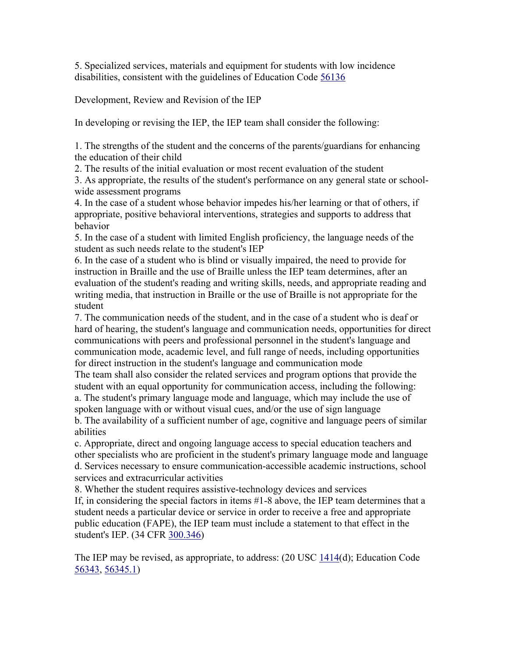5. Specialized services, materials and equipment for students with low incidence disabilities, consistent with the guidelines of Education Code 56136

Development, Review and Revision of the IEP

In developing or revising the IEP, the IEP team shall consider the following:

1. The strengths of the student and the concerns of the parents/guardians for enhancing the education of their child

2. The results of the initial evaluation or most recent evaluation of the student

3. As appropriate, the results of the student's performance on any general state or schoolwide assessment programs

4. In the case of a student whose behavior impedes his/her learning or that of others, if appropriate, positive behavioral interventions, strategies and supports to address that behavior

5. In the case of a student with limited English proficiency, the language needs of the student as such needs relate to the student's IEP

6. In the case of a student who is blind or visually impaired, the need to provide for instruction in Braille and the use of Braille unless the IEP team determines, after an evaluation of the student's reading and writing skills, needs, and appropriate reading and writing media, that instruction in Braille or the use of Braille is not appropriate for the student

7. The communication needs of the student, and in the case of a student who is deaf or hard of hearing, the student's language and communication needs, opportunities for direct communications with peers and professional personnel in the student's language and communication mode, academic level, and full range of needs, including opportunities for direct instruction in the student's language and communication mode

The team shall also consider the related services and program options that provide the student with an equal opportunity for communication access, including the following: a. The student's primary language mode and language, which may include the use of

spoken language with or without visual cues, and/or the use of sign language b. The availability of a sufficient number of age, cognitive and language peers of similar abilities

c. Appropriate, direct and ongoing language access to special education teachers and other specialists who are proficient in the student's primary language mode and language d. Services necessary to ensure communication-accessible academic instructions, school services and extracurricular activities

8. Whether the student requires assistive-technology devices and services

If, in considering the special factors in items #1-8 above, the IEP team determines that a student needs a particular device or service in order to receive a free and appropriate public education (FAPE), the IEP team must include a statement to that effect in the student's IEP. (34 CFR 300.346)

The IEP may be revised, as appropriate, to address: (20 USC 1414(d); Education Code 56343, 56345.1)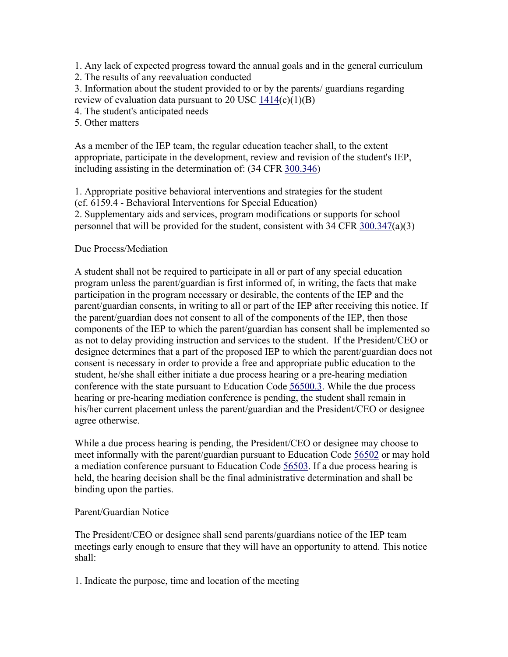1. Any lack of expected progress toward the annual goals and in the general curriculum

2. The results of any reevaluation conducted

3. Information about the student provided to or by the parents/ guardians regarding review of evaluation data pursuant to 20 USC  $1414(c)(1)(B)$ 

- 4. The student's anticipated needs
- 5. Other matters

As a member of the IEP team, the regular education teacher shall, to the extent appropriate, participate in the development, review and revision of the student's IEP, including assisting in the determination of: (34 CFR 300.346)

1. Appropriate positive behavioral interventions and strategies for the student (cf. 6159.4 - Behavioral Interventions for Special Education) 2. Supplementary aids and services, program modifications or supports for school

personnel that will be provided for the student, consistent with  $34$  CFR  $300.347(a)(3)$ 

## Due Process/Mediation

A student shall not be required to participate in all or part of any special education program unless the parent/guardian is first informed of, in writing, the facts that make participation in the program necessary or desirable, the contents of the IEP and the parent/guardian consents, in writing to all or part of the IEP after receiving this notice. If the parent/guardian does not consent to all of the components of the IEP, then those components of the IEP to which the parent/guardian has consent shall be implemented so as not to delay providing instruction and services to the student. If the President/CEO or designee determines that a part of the proposed IEP to which the parent/guardian does not consent is necessary in order to provide a free and appropriate public education to the student, he/she shall either initiate a due process hearing or a pre-hearing mediation conference with the state pursuant to Education Code 56500.3. While the due process hearing or pre-hearing mediation conference is pending, the student shall remain in his/her current placement unless the parent/guardian and the President/CEO or designee agree otherwise.

While a due process hearing is pending, the President/CEO or designee may choose to meet informally with the parent/guardian pursuant to Education Code 56502 or may hold a mediation conference pursuant to Education Code 56503. If a due process hearing is held, the hearing decision shall be the final administrative determination and shall be binding upon the parties.

## Parent/Guardian Notice

The President/CEO or designee shall send parents/guardians notice of the IEP team meetings early enough to ensure that they will have an opportunity to attend. This notice shall:

1. Indicate the purpose, time and location of the meeting